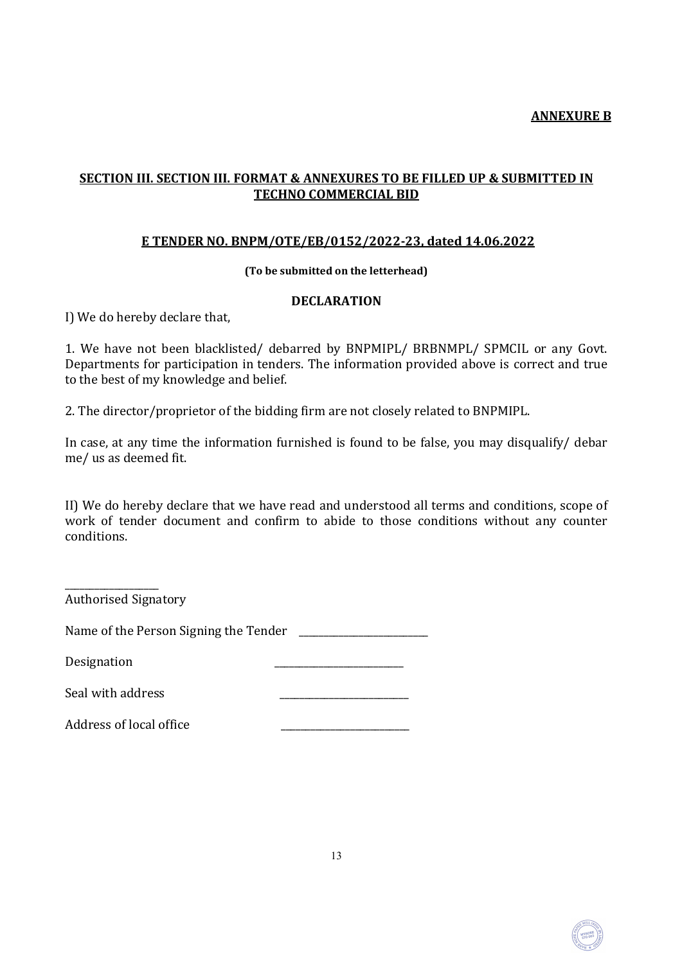# SECTION III. SECTION III. FORMAT & ANNEXURES TO BE FILLED UP & SUBMITTED IN TECHNO COMMERCIAL BID

### E TENDER NO. BNPM/OTE/EB/0152/2022-23, dated 14.06.2022

### (To be submitted on the letterhead)

### DECLARATION

I) We do hereby declare that,

1. We have not been blacklisted/ debarred by BNPMIPL/ BRBNMPL/ SPMCIL or any Govt. Departments for participation in tenders. The information provided above is correct and true to the best of my knowledge and belief.

2. The director/proprietor of the bidding firm are not closely related to BNPMIPL.

In case, at any time the information furnished is found to be false, you may disqualify/ debar me/ us as deemed fit.

II) We do hereby declare that we have read and understood all terms and conditions, scope of work of tender document and confirm to abide to those conditions without any counter conditions.

Authorised Signatory

\_\_\_\_\_\_\_\_\_\_\_\_\_\_\_\_\_\_\_

Name of the Person Signing the Tender \_\_\_\_\_\_\_\_\_\_\_\_\_\_\_\_\_\_\_\_\_\_\_\_\_\_

Designation

Seal with address

Address of local office \_\_\_\_\_\_\_\_\_\_\_\_\_\_\_\_\_\_\_\_\_\_\_\_\_\_